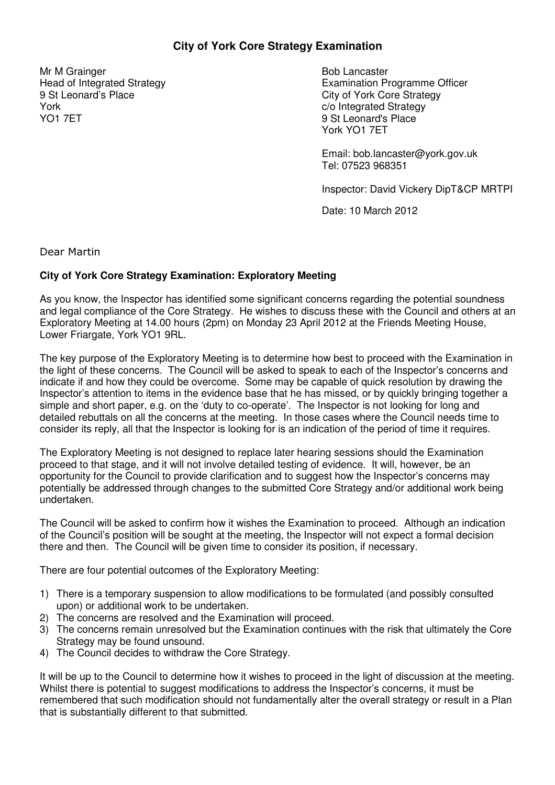## **City of York Core Strategy Examination**

Mr M Grainger Head of Integrated Strategy 9 St Leonard's Place York YO1 7ET

Bob Lancaster Examination Programme Officer City of York Core Strategy c/o Integrated Strategy 9 St Leonard's Place York YO1 7ET

Email: bob.lancaster@york.gov.uk Tel: 07523 968351

Inspector: David Vickery DipT&CP MRTPI

Date: 10 March 2012

Dear Martin

## **City of York Core Strategy Examination: Exploratory Meeting**

As you know, the Inspector has identified some significant concerns regarding the potential soundness and legal compliance of the Core Strategy. He wishes to discuss these with the Council and others at an Exploratory Meeting at 14.00 hours (2pm) on Monday 23 April 2012 at the Friends Meeting House, Lower Friargate, York YO1 9RL.

The key purpose of the Exploratory Meeting is to determine how best to proceed with the Examination in the light of these concerns. The Council will be asked to speak to each of the Inspector's concerns and indicate if and how they could be overcome. Some may be capable of quick resolution by drawing the Inspector's attention to items in the evidence base that he has missed, or by quickly bringing together a simple and short paper, e.g. on the 'duty to co-operate'. The Inspector is not looking for long and detailed rebuttals on all the concerns at the meeting. In those cases where the Council needs time to consider its reply, all that the Inspector is looking for is an indication of the period of time it requires.

The Exploratory Meeting is not designed to replace later hearing sessions should the Examination proceed to that stage, and it will not involve detailed testing of evidence. It will, however, be an opportunity for the Council to provide clarification and to suggest how the Inspector's concerns may potentially be addressed through changes to the submitted Core Strategy and/or additional work being undertaken.

The Council will be asked to confirm how it wishes the Examination to proceed. Although an indication of the Council's position will be sought at the meeting, the Inspector will not expect a formal decision there and then. The Council will be given time to consider its position, if necessary.

There are four potential outcomes of the Exploratory Meeting:

- 1) There is a temporary suspension to allow modifications to be formulated (and possibly consulted upon) or additional work to be undertaken.
- 2) The concerns are resolved and the Examination will proceed.
- 3) The concerns remain unresolved but the Examination continues with the risk that ultimately the Core Strategy may be found unsound.
- 4) The Council decides to withdraw the Core Strategy.

It will be up to the Council to determine how it wishes to proceed in the light of discussion at the meeting. Whilst there is potential to suggest modifications to address the Inspector's concerns, it must be remembered that such modification should not fundamentally alter the overall strategy or result in a Plan that is substantially different to that submitted.